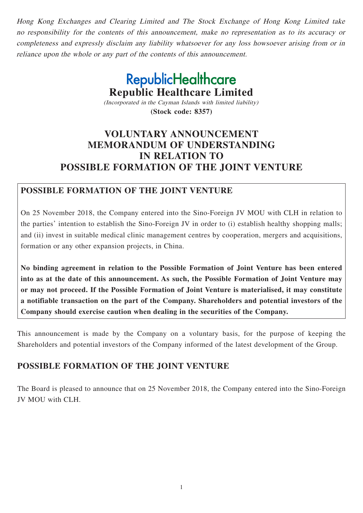Hong Kong Exchanges and Clearing Limited and The Stock Exchange of Hong Kong Limited take no responsibility for the contents of this announcement, make no representation as to its accuracy or completeness and expressly disclaim any liability whatsoever for any loss howsoever arising from or in reliance upon the whole or any part of the contents of this announcement.

> **RepublicHealthcare Republic Healthcare Limited** (Incorporated in the Cayman Islands with limited liability)

> > **(Stock code: 8357)**

# **VOLUNTARY ANNOUNCEMENT MEMORANDUM OF UNDERSTANDING IN RELATION TO POSSIBLE FORMATION OF THE JOINT VENTURE**

### **POSSIBLE FORMATION OF THE JOINT VENTURE**

On 25 November 2018, the Company entered into the Sino-Foreign JV MOU with CLH in relation to the parties' intention to establish the Sino-Foreign JV in order to (i) establish healthy shopping malls; and (ii) invest in suitable medical clinic management centres by cooperation, mergers and acquisitions, formation or any other expansion projects, in China.

**No binding agreement in relation to the Possible Formation of Joint Venture has been entered into as at the date of this announcement. As such, the Possible Formation of Joint Venture may or may not proceed. If the Possible Formation of Joint Venture is materialised, it may constitute a notifiable transaction on the part of the Company. Shareholders and potential investors of the Company should exercise caution when dealing in the securities of the Company.**

This announcement is made by the Company on a voluntary basis, for the purpose of keeping the Shareholders and potential investors of the Company informed of the latest development of the Group.

# **POSSIBLE FORMATION OF THE JOINT VENTURE**

The Board is pleased to announce that on 25 November 2018, the Company entered into the Sino-Foreign JV MOU with CLH.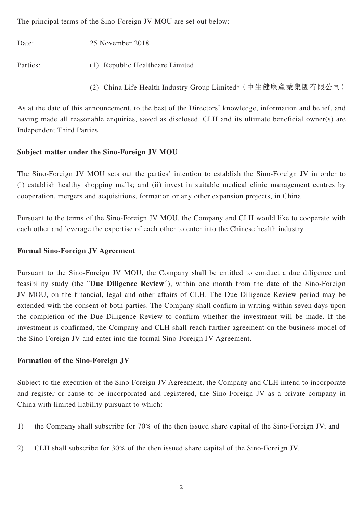The principal terms of the Sino-Foreign JV MOU are set out below:

Date: 25 November 2018

Parties: (1) Republic Healthcare Limited

(2) China Life Health Industry Group Limited\*(中生健康產業集團有限公司)

As at the date of this announcement, to the best of the Directors' knowledge, information and belief, and having made all reasonable enquiries, saved as disclosed, CLH and its ultimate beneficial owner(s) are Independent Third Parties.

#### **Subject matter under the Sino-Foreign JV MOU**

The Sino-Foreign JV MOU sets out the parties' intention to establish the Sino-Foreign JV in order to (i) establish healthy shopping malls; and (ii) invest in suitable medical clinic management centres by cooperation, mergers and acquisitions, formation or any other expansion projects, in China.

Pursuant to the terms of the Sino-Foreign JV MOU, the Company and CLH would like to cooperate with each other and leverage the expertise of each other to enter into the Chinese health industry.

#### **Formal Sino-Foreign JV Agreement**

Pursuant to the Sino-Foreign JV MOU, the Company shall be entitled to conduct a due diligence and feasibility study (the "**Due Diligence Review**"), within one month from the date of the Sino-Foreign JV MOU, on the financial, legal and other affairs of CLH. The Due Diligence Review period may be extended with the consent of both parties. The Company shall confirm in writing within seven days upon the completion of the Due Diligence Review to confirm whether the investment will be made. If the investment is confirmed, the Company and CLH shall reach further agreement on the business model of the Sino-Foreign JV and enter into the formal Sino-Foreign JV Agreement.

#### **Formation of the Sino-Foreign JV**

Subject to the execution of the Sino-Foreign JV Agreement, the Company and CLH intend to incorporate and register or cause to be incorporated and registered, the Sino-Foreign JV as a private company in China with limited liability pursuant to which:

- 1) the Company shall subscribe for 70% of the then issued share capital of the Sino-Foreign JV; and
- 2) CLH shall subscribe for 30% of the then issued share capital of the Sino-Foreign JV.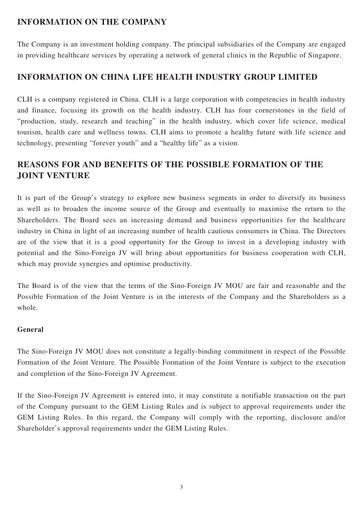## **INFORMATION ON THE COMPANY**

The Company is an investment holding company. The principal subsidiaries of the Company are engaged in providing healthcare services by operating a network of general clinics in the Republic of Singapore.

### **INFORMATION ON CHINA LIFE HEALTH INDUSTRY GROUP LIMITED**

CLH is a company registered in China. CLH is a large corporation with competencies in health industry and finance, focusing its growth on the health industry. CLH has four cornerstones in the field of "production, study, research and teaching" in the health industry, which cover life science, medical tourism, health care and wellness towns. CLH aims to promote a healthy future with life science and technology, presenting "forever youth" and a "healthy life" as a vision.

# **REASONS FOR AND BENEFITS OF THE POSSIBLE FORMATION OF THE JOINT VENTURE**

It is part of the Group's strategy to explore new business segments in order to diversify its business as well as to broaden the income source of the Group and eventually to maximise the return to the Shareholders. The Board sees an increasing demand and business opportunities for the healthcare industry in China in light of an increasing number of health cautious consumers in China. The Directors are of the view that it is a good opportunity for the Group to invest in a developing industry with potential and the Sino-Foreign JV will bring about opportunities for business cooperation with CLH, which may provide synergies and optimise productivity.

The Board is of the view that the terms of the Sino-Foreign JV MOU are fair and reasonable and the Possible Formation of the Joint Venture is in the interests of the Company and the Shareholders as a whole.

### **General**

The Sino-Foreign JV MOU does not constitute a legally-binding commitment in respect of the Possible Formation of the Joint Venture. The Possible Formation of the Joint Venture is subject to the execution and completion of the Sino-Foreign JV Agreement.

If the Sino-Foreign JV Agreement is entered into, it may constitute a notifiable transaction on the part of the Company pursuant to the GEM Listing Rules and is subject to approval requirements under the GEM Listing Rules. In this regard, the Company will comply with the reporting, disclosure and/or Shareholder's approval requirements under the GEM Listing Rules.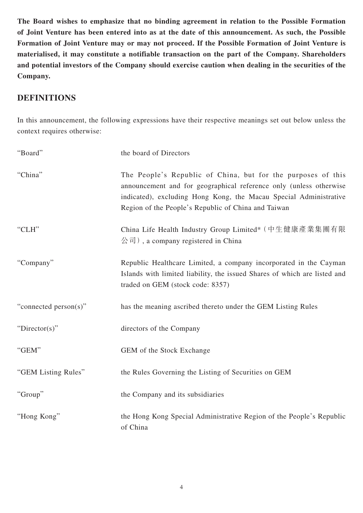**The Board wishes to emphasize that no binding agreement in relation to the Possible Formation of Joint Venture has been entered into as at the date of this announcement. As such, the Possible Formation of Joint Venture may or may not proceed. If the Possible Formation of Joint Venture is materialised, it may constitute a notifiable transaction on the part of the Company. Shareholders and potential investors of the Company should exercise caution when dealing in the securities of the Company.**

### **DEFINITIONS**

In this announcement, the following expressions have their respective meanings set out below unless the context requires otherwise:

| "Board"               | the board of Directors                                                                                                                                                                                                                                         |
|-----------------------|----------------------------------------------------------------------------------------------------------------------------------------------------------------------------------------------------------------------------------------------------------------|
| "China"               | The People's Republic of China, but for the purposes of this<br>announcement and for geographical reference only (unless otherwise<br>indicated), excluding Hong Kong, the Macau Special Administrative<br>Region of the People's Republic of China and Taiwan |
| "CLH"                 | China Life Health Industry Group Limited* (中生健康產業集團有限<br>$\langle \hat{\mathcal{E}}   \hat{\mathcal{E}} \rangle$ , a company registered in China                                                                                                               |
| "Company"             | Republic Healthcare Limited, a company incorporated in the Cayman<br>Islands with limited liability, the issued Shares of which are listed and<br>traded on GEM (stock code: 8357)                                                                             |
| "connected person(s)" | has the meaning ascribed thereto under the GEM Listing Rules                                                                                                                                                                                                   |
| " $Directory$ "       | directors of the Company                                                                                                                                                                                                                                       |
| "GEM"                 | GEM of the Stock Exchange                                                                                                                                                                                                                                      |
| "GEM Listing Rules"   | the Rules Governing the Listing of Securities on GEM                                                                                                                                                                                                           |
| "Group"               | the Company and its subsidiaries                                                                                                                                                                                                                               |
| "Hong Kong"           | the Hong Kong Special Administrative Region of the People's Republic<br>of China                                                                                                                                                                               |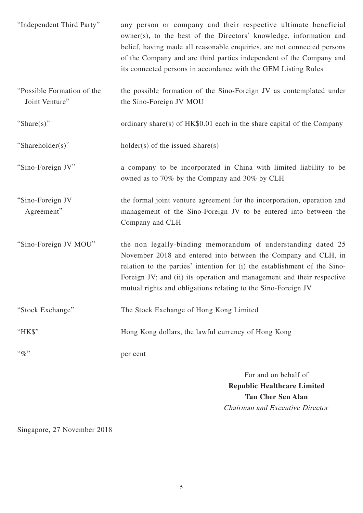| "Independent Third Party"                    | any person or company and their respective ultimate beneficial<br>owner(s), to the best of the Directors' knowledge, information and<br>belief, having made all reasonable enquiries, are not connected persons<br>of the Company and are third parties independent of the Company and<br>its connected persons in accordance with the GEM Listing Rules |
|----------------------------------------------|----------------------------------------------------------------------------------------------------------------------------------------------------------------------------------------------------------------------------------------------------------------------------------------------------------------------------------------------------------|
| "Possible Formation of the<br>Joint Venture" | the possible formation of the Sino-Foreign JV as contemplated under<br>the Sino-Foreign JV MOU                                                                                                                                                                                                                                                           |
| "Share(s)"                                   | ordinary share(s) of HK\$0.01 each in the share capital of the Company                                                                                                                                                                                                                                                                                   |
| "Shareholder(s)"                             | $holder(s)$ of the issued Share $(s)$                                                                                                                                                                                                                                                                                                                    |
| "Sino-Foreign JV"                            | a company to be incorporated in China with limited liability to be<br>owned as to 70% by the Company and 30% by CLH                                                                                                                                                                                                                                      |
| "Sino-Foreign JV<br>Agreement"               | the formal joint venture agreement for the incorporation, operation and<br>management of the Sino-Foreign JV to be entered into between the<br>Company and CLH                                                                                                                                                                                           |
| "Sino-Foreign JV MOU"                        | the non legally-binding memorandum of understanding dated 25<br>November 2018 and entered into between the Company and CLH, in<br>relation to the parties' intention for (i) the establishment of the Sino-<br>Foreign JV; and (ii) its operation and management and their respective<br>mutual rights and obligations relating to the Sino-Foreign JV   |
| "Stock Exchange"                             | The Stock Exchange of Hong Kong Limited                                                                                                                                                                                                                                                                                                                  |
| "HK\$"                                       | Hong Kong dollars, the lawful currency of Hong Kong                                                                                                                                                                                                                                                                                                      |
| $``\%"$                                      | per cent                                                                                                                                                                                                                                                                                                                                                 |
|                                              | For and on behalf of<br><b>Republic Healthcare Limited</b>                                                                                                                                                                                                                                                                                               |

Singapore, 27 November 2018

**Tan Cher Sen Alan** Chairman and Executive Director